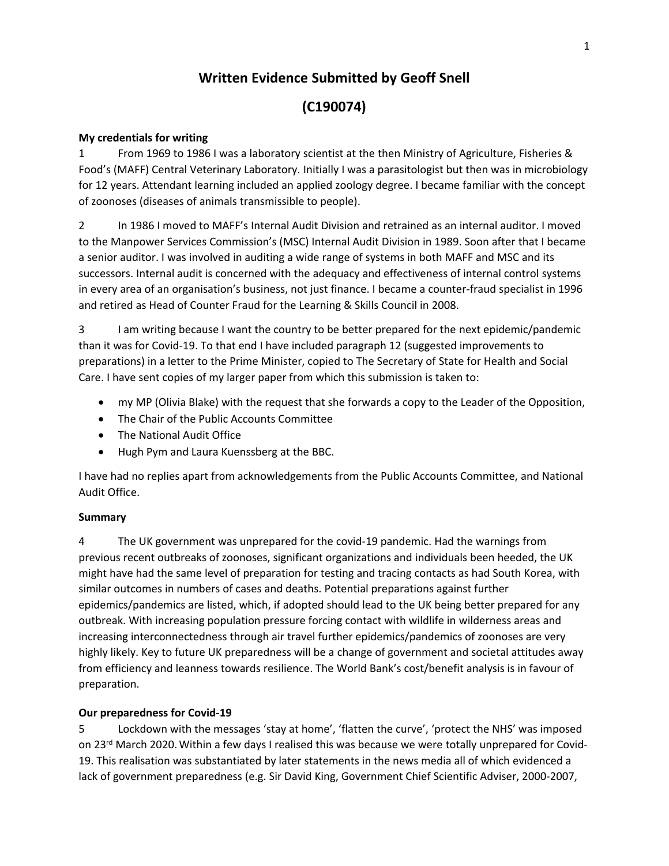## **Written Evidence Submitted by Geoff Snell**

## **(C190074)**

#### **My credentials for writing**

1 From 1969 to 1986 I was a laboratory scientist at the then Ministry of Agriculture, Fisheries & Food's (MAFF) Central Veterinary Laboratory. Initially I was a parasitologist but then was in microbiology for 12 years. Attendant learning included an applied zoology degree. I became familiar with the concept of zoonoses (diseases of animals transmissible to people).

2 In 1986 I moved to MAFF's Internal Audit Division and retrained as an internal auditor. I moved to the Manpower Services Commission's (MSC) Internal Audit Division in 1989. Soon after that I became a senior auditor. I was involved in auditing a wide range of systems in both MAFF and MSC and its successors. Internal audit is concerned with the adequacy and effectiveness of internal control systems in every area of an organisation's business, not just finance. I became a counter-fraud specialist in 1996 and retired as Head of Counter Fraud for the Learning & Skills Council in 2008.

3 I am writing because I want the country to be better prepared for the next epidemic/pandemic than it was for Covid-19. To that end I have included paragraph 12 (suggested improvements to preparations) in a letter to the Prime Minister, copied to The Secretary of State for Health and Social Care. I have sent copies of my larger paper from which this submission is taken to:

- my MP (Olivia Blake) with the request that she forwards a copy to the Leader of the Opposition,
- The Chair of the Public Accounts Committee
- The National Audit Office
- Hugh Pym and Laura Kuenssberg at the BBC.

I have had no replies apart from acknowledgements from the Public Accounts Committee, and National Audit Office.

#### **Summary**

4 The UK government was unprepared for the covid-19 pandemic. Had the warnings from previous recent outbreaks of zoonoses, significant organizations and individuals been heeded, the UK might have had the same level of preparation for testing and tracing contacts as had South Korea, with similar outcomes in numbers of cases and deaths. Potential preparations against further epidemics/pandemics are listed, which, if adopted should lead to the UK being better prepared for any outbreak. With increasing population pressure forcing contact with wildlife in wilderness areas and increasing interconnectedness through air travel further epidemics/pandemics of zoonoses are very highly likely. Key to future UK preparedness will be a change of government and societal attitudes away from efficiency and leanness towards resilience. The World Bank's cost/benefit analysis is in favour of preparation.

#### **Our preparedness for Covid-19**

5 Lockdown with the messages 'stay at home', 'flatten the curve', 'protect the NHS' was imposed on 23<sup>rd</sup> March 2020. Within a few days I realised this was because we were totally unprepared for Covid-19. This realisation was substantiated by later statements in the news media all of which evidenced a lack of government preparedness (e.g. Sir David King, Government Chief Scientific Adviser, 2000-2007,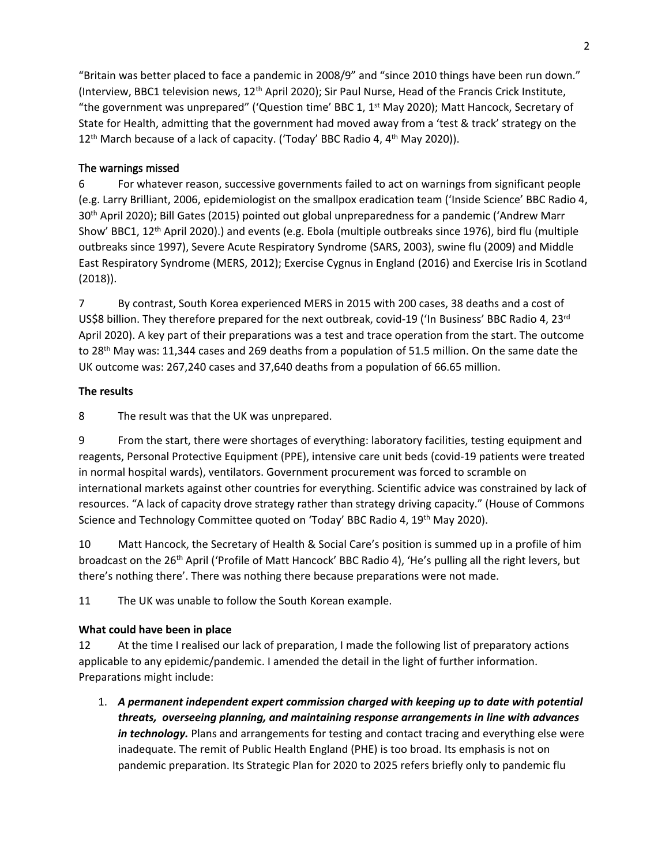"Britain was better placed to face a pandemic in 2008/9" and "since 2010 things have been run down." (Interview, BBC1 television news, 12th April 2020); Sir Paul Nurse, Head of the Francis Crick Institute, "the government was unprepared" ('Question time' BBC 1, 1<sup>st</sup> May 2020); Matt Hancock, Secretary of State for Health, admitting that the government had moved away from a 'test & track' strategy on the 12<sup>th</sup> March because of a lack of capacity. ('Today' BBC Radio 4, 4<sup>th</sup> May 2020)).

### **The warnings missed**

6 For whatever reason, successive governments failed to act on warnings from significant people (e.g. Larry Brilliant, 2006, epidemiologist on the smallpox eradication team ('Inside Science' BBC Radio 4, 30th April 2020); Bill Gates (2015) pointed out global unpreparedness for a pandemic ('Andrew Marr Show' BBC1, 12th April 2020).) and events (e.g. Ebola (multiple outbreaks since 1976), bird flu (multiple outbreaks since 1997), Severe Acute Respiratory Syndrome (SARS, 2003), swine flu (2009) and Middle East Respiratory Syndrome (MERS, 2012); Exercise Cygnus in England (2016) and Exercise Iris in Scotland (2018)).

7 By contrast, South Korea experienced MERS in 2015 with 200 cases, 38 deaths and a cost of US\$8 billion. They therefore prepared for the next outbreak, covid-19 ('In Business' BBC Radio 4, 23<sup>rd</sup> April 2020). A key part of their preparations was a test and trace operation from the start. The outcome to 28th May was: 11,344 cases and 269 deaths from a population of 51.5 million. On the same date the UK outcome was: 267,240 cases and 37,640 deaths from a population of 66.65 million.

### **The results**

8 The result was that the UK was unprepared.

9 From the start, there were shortages of everything: laboratory facilities, testing equipment and reagents, Personal Protective Equipment (PPE), intensive care unit beds (covid-19 patients were treated in normal hospital wards), ventilators. Government procurement was forced to scramble on international markets against other countries for everything. Scientific advice was constrained by lack of resources. "A lack of capacity drove strategy rather than strategy driving capacity." (House of Commons Science and Technology Committee quoted on 'Today' BBC Radio 4, 19<sup>th</sup> May 2020).

10 Matt Hancock, the Secretary of Health & Social Care's position is summed up in a profile of him broadcast on the 26th April ('Profile of Matt Hancock' BBC Radio 4), 'He's pulling all the right levers, but there's nothing there'. There was nothing there because preparations were not made.

11 The UK was unable to follow the South Korean example.

### **What could have been in place**

12 At the time I realised our lack of preparation, I made the following list of preparatory actions applicable to any epidemic/pandemic. I amended the detail in the light of further information. Preparations might include:

1. *A permanent independent expert commission charged with keeping up to date with potential threats, overseeing planning, and maintaining response arrangements in line with advances in technology.* Plans and arrangements for testing and contact tracing and everything else were inadequate. The remit of Public Health England (PHE) is too broad. Its emphasis is not on pandemic preparation. Its Strategic Plan for 2020 to 2025 refers briefly only to pandemic flu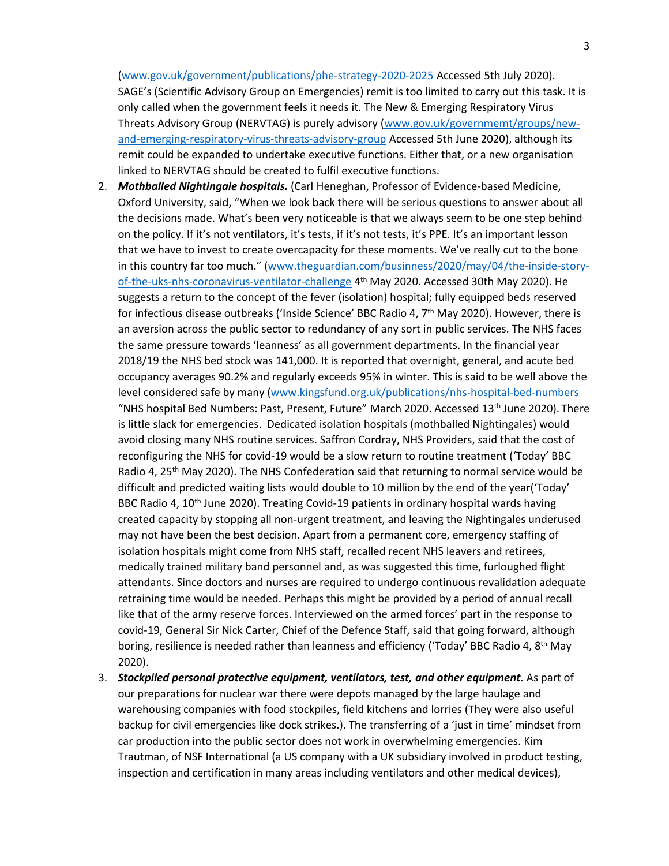[\(www.gov.uk/government/publications/phe-strategy-2020-2025](http://www.gov.uk/government/publications/phe-strategy-2020-2025) Accessed 5th July 2020). SAGE's (Scientific Advisory Group on Emergencies) remit is too limited to carry out this task. It is only called when the government feels it needs it. The New & Emerging Respiratory Virus Threats Advisory Group (NERVTAG) is purely advisory ([www.gov.uk/governmemt/groups/new](http://www.gov.uk/governmemt/groups/new-and-emerging-respiratory-virus-threats-advisory-group)[and-emerging-respiratory-virus-threats-advisory-group](http://www.gov.uk/governmemt/groups/new-and-emerging-respiratory-virus-threats-advisory-group) Accessed 5th June 2020), although its remit could be expanded to undertake executive functions. Either that, or a new organisation linked to NERVTAG should be created to fulfil executive functions.

- 2. *Mothballed Nightingale hospitals.* (Carl Heneghan, Professor of Evidence-based Medicine, Oxford University, said, "When we look back there will be serious questions to answer about all the decisions made. What's been very noticeable is that we always seem to be one step behind on the policy. If it's not ventilators, it's tests, if it's not tests, it's PPE. It's an important lesson that we have to invest to create overcapacity for these moments. We've really cut to the bone in this country far too much." [\(www.theguardian.com/businness/2020/may/04/the-inside-story](http://www.theguardian.com/businness/2020/may/04/the-inside-story-of-the-uks-nhs-coronavirus-ventilator-challenge)[of-the-uks-nhs-coronavirus-ventilator-challenge](http://www.theguardian.com/businness/2020/may/04/the-inside-story-of-the-uks-nhs-coronavirus-ventilator-challenge) 4<sup>th</sup> May 2020. Accessed 30th May 2020). He suggests a return to the concept of the fever (isolation) hospital; fully equipped beds reserved for infectious disease outbreaks ('Inside Science' BBC Radio 4, 7<sup>th</sup> May 2020). However, there is an aversion across the public sector to redundancy of any sort in public services. The NHS faces the same pressure towards 'leanness' as all government departments. In the financial year 2018/19 the NHS bed stock was 141,000. It is reported that overnight, general, and acute bed occupancy averages 90.2% and regularly exceeds 95% in winter. This is said to be well above the level considered safe by many [\(www.kingsfund.org.uk/publications/nhs-hospital-bed-numbers](http://www.kingsfund.org.uk/publications/nhs-hospital-bed-numbers) "NHS hospital Bed Numbers: Past, Present, Future" March 2020. Accessed 13<sup>th</sup> June 2020). There is little slack for emergencies. Dedicated isolation hospitals (mothballed Nightingales) would avoid closing many NHS routine services. Saffron Cordray, NHS Providers, said that the cost of reconfiguring the NHS for covid-19 would be a slow return to routine treatment ('Today' BBC Radio 4, 25<sup>th</sup> May 2020). The NHS Confederation said that returning to normal service would be difficult and predicted waiting lists would double to 10 million by the end of the year('Today' BBC Radio 4, 10<sup>th</sup> June 2020). Treating Covid-19 patients in ordinary hospital wards having created capacity by stopping all non-urgent treatment, and leaving the Nightingales underused may not have been the best decision. Apart from a permanent core, emergency staffing of isolation hospitals might come from NHS staff, recalled recent NHS leavers and retirees, medically trained military band personnel and, as was suggested this time, furloughed flight attendants. Since doctors and nurses are required to undergo continuous revalidation adequate retraining time would be needed. Perhaps this might be provided by a period of annual recall like that of the army reserve forces. Interviewed on the armed forces' part in the response to covid-19, General Sir Nick Carter, Chief of the Defence Staff, said that going forward, although boring, resilience is needed rather than leanness and efficiency ('Today' BBC Radio 4, 8<sup>th</sup> May 2020).
- 3. *Stockpiled personal protective equipment, ventilators, test, and other equipment.* As part of our preparations for nuclear war there were depots managed by the large haulage and warehousing companies with food stockpiles, field kitchens and lorries (They were also useful backup for civil emergencies like dock strikes.). The transferring of a 'just in time' mindset from car production into the public sector does not work in overwhelming emergencies. Kim Trautman, of NSF International (a US company with a UK subsidiary involved in product testing, inspection and certification in many areas including ventilators and other medical devices),